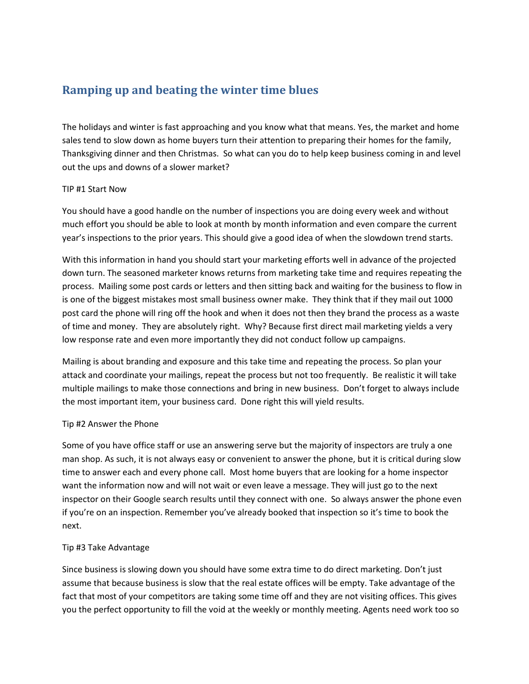# **Ramping up and beating the winter time blues**

The holidays and winter is fast approaching and you know what that means. Yes, the market and home sales tend to slow down as home buyers turn their attention to preparing their homes for the family, Thanksgiving dinner and then Christmas. So what can you do to help keep business coming in and level out the ups and downs of a slower market?

#### TIP #1 Start Now

You should have a good handle on the number of inspections you are doing every week and without much effort you should be able to look at month by month information and even compare the current year's inspections to the prior years. This should give a good idea of when the slowdown trend starts.

With this information in hand you should start your marketing efforts well in advance of the projected down turn. The seasoned marketer knows returns from marketing take time and requires repeating the process. Mailing some post cards or letters and then sitting back and waiting for the business to flow in is one of the biggest mistakes most small business owner make. They think that if they mail out 1000 post card the phone will ring off the hook and when it does not then they brand the process as a waste of time and money. They are absolutely right. Why? Because first direct mail marketing yields a very low response rate and even more importantly they did not conduct follow up campaigns.

Mailing is about branding and exposure and this take time and repeating the process. So plan your attack and coordinate your mailings, repeat the process but not too frequently. Be realistic it will take multiple mailings to make those connections and bring in new business. Don't forget to always include the most important item, your business card. Done right this will yield results.

### Tip #2 Answer the Phone

Some of you have office staff or use an answering serve but the majority of inspectors are truly a one man shop. As such, it is not always easy or convenient to answer the phone, but it is critical during slow time to answer each and every phone call. Most home buyers that are looking for a home inspector want the information now and will not wait or even leave a message. They will just go to the next inspector on their Google search results until they connect with one. So always answer the phone even if you're on an inspection. Remember you've already booked that inspection so it's time to book the next.

### Tip #3 Take Advantage

Since business is slowing down you should have some extra time to do direct marketing. Don't just assume that because business is slow that the real estate offices will be empty. Take advantage of the fact that most of your competitors are taking some time off and they are not visiting offices. This gives you the perfect opportunity to fill the void at the weekly or monthly meeting. Agents need work too so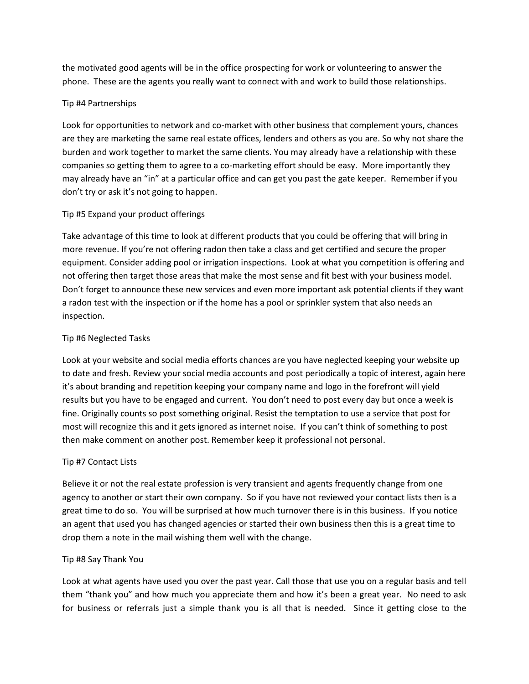the motivated good agents will be in the office prospecting for work or volunteering to answer the phone. These are the agents you really want to connect with and work to build those relationships.

## Tip #4 Partnerships

Look for opportunities to network and co-market with other business that complement yours, chances are they are marketing the same real estate offices, lenders and others as you are. So why not share the burden and work together to market the same clients. You may already have a relationship with these companies so getting them to agree to a co-marketing effort should be easy. More importantly they may already have an "in" at a particular office and can get you past the gate keeper. Remember if you don't try or ask it's not going to happen.

## Tip #5 Expand your product offerings

Take advantage of this time to look at different products that you could be offering that will bring in more revenue. If you're not offering radon then take a class and get certified and secure the proper equipment. Consider adding pool or irrigation inspections. Look at what you competition is offering and not offering then target those areas that make the most sense and fit best with your business model. Don't forget to announce these new services and even more important ask potential clients if they want a radon test with the inspection or if the home has a pool or sprinkler system that also needs an inspection.

## Tip #6 Neglected Tasks

Look at your website and social media efforts chances are you have neglected keeping your website up to date and fresh. Review your social media accounts and post periodically a topic of interest, again here it's about branding and repetition keeping your company name and logo in the forefront will yield results but you have to be engaged and current. You don't need to post every day but once a week is fine. Originally counts so post something original. Resist the temptation to use a service that post for most will recognize this and it gets ignored as internet noise. If you can't think of something to post then make comment on another post. Remember keep it professional not personal.

### Tip #7 Contact Lists

Believe it or not the real estate profession is very transient and agents frequently change from one agency to another or start their own company. So if you have not reviewed your contact lists then is a great time to do so. You will be surprised at how much turnover there is in this business. If you notice an agent that used you has changed agencies or started their own business then this is a great time to drop them a note in the mail wishing them well with the change.

### Tip #8 Say Thank You

Look at what agents have used you over the past year. Call those that use you on a regular basis and tell them "thank you" and how much you appreciate them and how it's been a great year. No need to ask for business or referrals just a simple thank you is all that is needed. Since it getting close to the